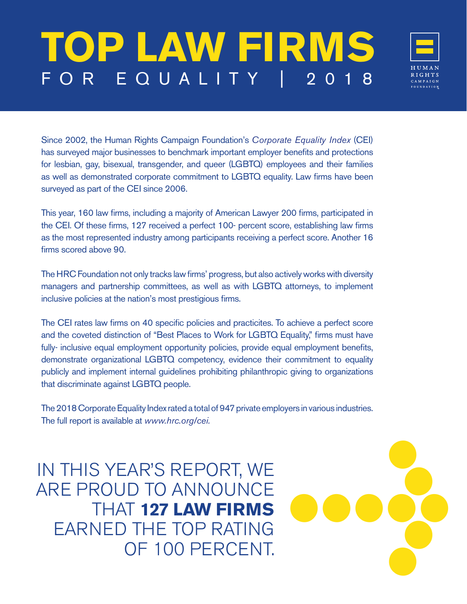## **TOP LAW FIRMS** FOR EQUALITY | 2018



Since 2002, the Human Rights Campaign Foundation's *Corporate Equality Index* (CEI) has surveyed major businesses to benchmark important employer benefits and protections for lesbian, gay, bisexual, transgender, and queer (LGBTQ) employees and their families as well as demonstrated corporate commitment to LGBTQ equality. Law firms have been surveyed as part of the CEI since 2006.

This year, 160 law firms, including a majority of American Lawyer 200 firms, participated in the CEI. Of these firms, 127 received a perfect 100- percent score, establishing law firms as the most represented industry among participants receiving a perfect score. Another 16 firms scored above 90.

The HRC Foundation not only tracks law firms' progress, but also actively works with diversity managers and partnership committees, as well as with LGBTQ attorneys, to implement inclusive policies at the nation's most prestigious firms.

The CEI rates law firms on 40 specific policies and practicites. To achieve a perfect score and the coveted distinction of "Best Places to Work for LGBTQ Equality," firms must have fully- inclusive equal employment opportunity policies, provide equal employment benefits, demonstrate organizational LGBTQ competency, evidence their commitment to equality publicly and implement internal guidelines prohibiting philanthropic giving to organizations that discriminate against LGBTQ people.

The 2018 Corporate Equality Index rated a total of 947 private employers in various industries. The full report is available at *www.hrc.org/cei.* 

ARE PROUD TO ANNOUNCE IN THIS YEAR'S REPORT, WE EARNED THE TOP RATING **THAT 127 LAW FIRMS** OF 100 PERCENT. R'S REPORT, WE<br>TO ANNOUNCE<br>**127 LAW FIRMS**<br>HE TOP RATING<br>F 100 PERCENT.